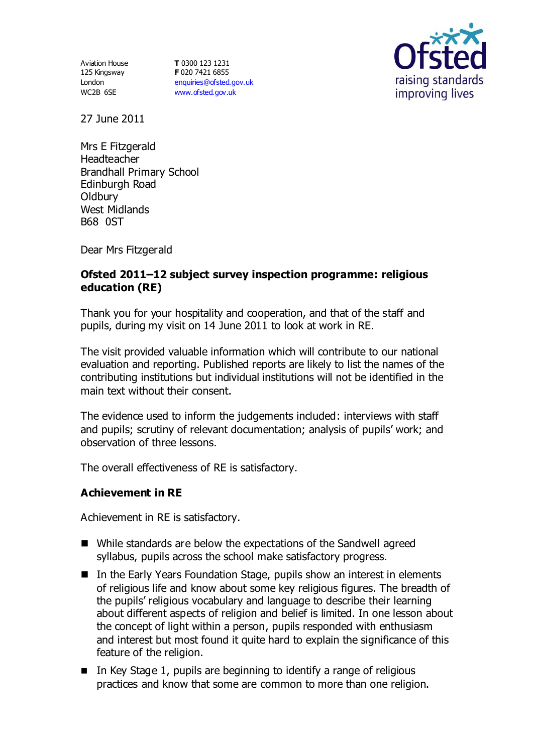Aviation House 125 Kingsway London WC2B 6SE

**T** 0300 123 1231 **F** 020 7421 6855 [enquiries@ofsted.gov.uk](mailto:enquiries@ofsted.gov.uk) [www.ofsted.gov.uk](http://www.ofsted.gov.uk/)



27 June 2011

Mrs E Fitzgerald Headteacher Brandhall Primary School Edinburgh Road **Oldbury** West Midlands B68 0ST

Dear Mrs Fitzgerald

## **Ofsted 2011–12 subject survey inspection programme: religious education (RE)**

Thank you for your hospitality and cooperation, and that of the staff and pupils, during my visit on 14 June 2011 to look at work in RE.

The visit provided valuable information which will contribute to our national evaluation and reporting. Published reports are likely to list the names of the contributing institutions but individual institutions will not be identified in the main text without their consent.

The evidence used to inform the judgements included: interviews with staff and pupils; scrutiny of relevant documentation; analysis of pupils' work; and observation of three lessons.

The overall effectiveness of RE is satisfactory.

### **Achievement in RE**

Achievement in RE is satisfactory.

- While standards are below the expectations of the Sandwell agreed syllabus, pupils across the school make satisfactory progress.
- In the Early Years Foundation Stage, pupils show an interest in elements of religious life and know about some key religious figures. The breadth of the pupils' religious vocabulary and language to describe their learning about different aspects of religion and belief is limited. In one lesson about the concept of light within a person, pupils responded with enthusiasm and interest but most found it quite hard to explain the significance of this feature of the religion.
- $\blacksquare$  In Key Stage 1, pupils are beginning to identify a range of religious practices and know that some are common to more than one religion.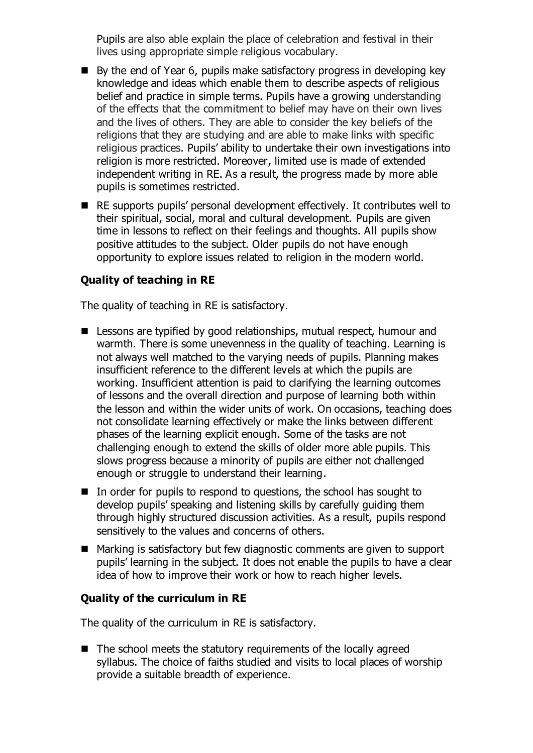Pupils are also able explain the place of celebration and festival in their lives using appropriate simple religious vocabulary.

- By the end of Year 6, pupils make satisfactory progress in developing key knowledge and ideas which enable them to describe aspects of religious belief and practice in simple terms. Pupils have a growing understanding of the effects that the commitment to belief may have on their own lives and the lives of others. They are able to consider the key beliefs of the religions that they are studying and are able to make links with specific religious practices. Pupils' ability to undertake their own investigations into religion is more restricted. Moreover, limited use is made of extended independent writing in RE. As a result, the progress made by more able pupils is sometimes restricted.
- RE supports pupils' personal development effectively. It contributes well to their spiritual, social, moral and cultural development. Pupils are given time in lessons to reflect on their feelings and thoughts. All pupils show positive attitudes to the subject. Older pupils do not have enough opportunity to explore issues related to religion in the modern world.

# **Quality of teaching in RE**

The quality of teaching in RE is satisfactory.

- Lessons are typified by good relationships, mutual respect, humour and warmth. There is some unevenness in the quality of teaching. Learning is not always well matched to the varying needs of pupils. Planning makes insufficient reference to the different levels at which the pupils are working. Insufficient attention is paid to clarifying the learning outcomes of lessons and the overall direction and purpose of learning both within the lesson and within the wider units of work. On occasions, teaching does not consolidate learning effectively or make the links between different phases of the learning explicit enough. Some of the tasks are not challenging enough to extend the skills of older more able pupils. This slows progress because a minority of pupils are either not challenged enough or struggle to understand their learning.
- In order for pupils to respond to questions, the school has sought to develop pupils' speaking and listening skills by carefully guiding them through highly structured discussion activities. As a result, pupils respond sensitively to the values and concerns of others.
- Marking is satisfactory but few diagnostic comments are given to support pupils' learning in the subject. It does not enable the pupils to have a clear idea of how to improve their work or how to reach higher levels.

### **Quality of the curriculum in RE**

The quality of the curriculum in RE is satisfactory.

 $\blacksquare$  The school meets the statutory requirements of the locally agreed syllabus. The choice of faiths studied and visits to local places of worship provide a suitable breadth of experience.